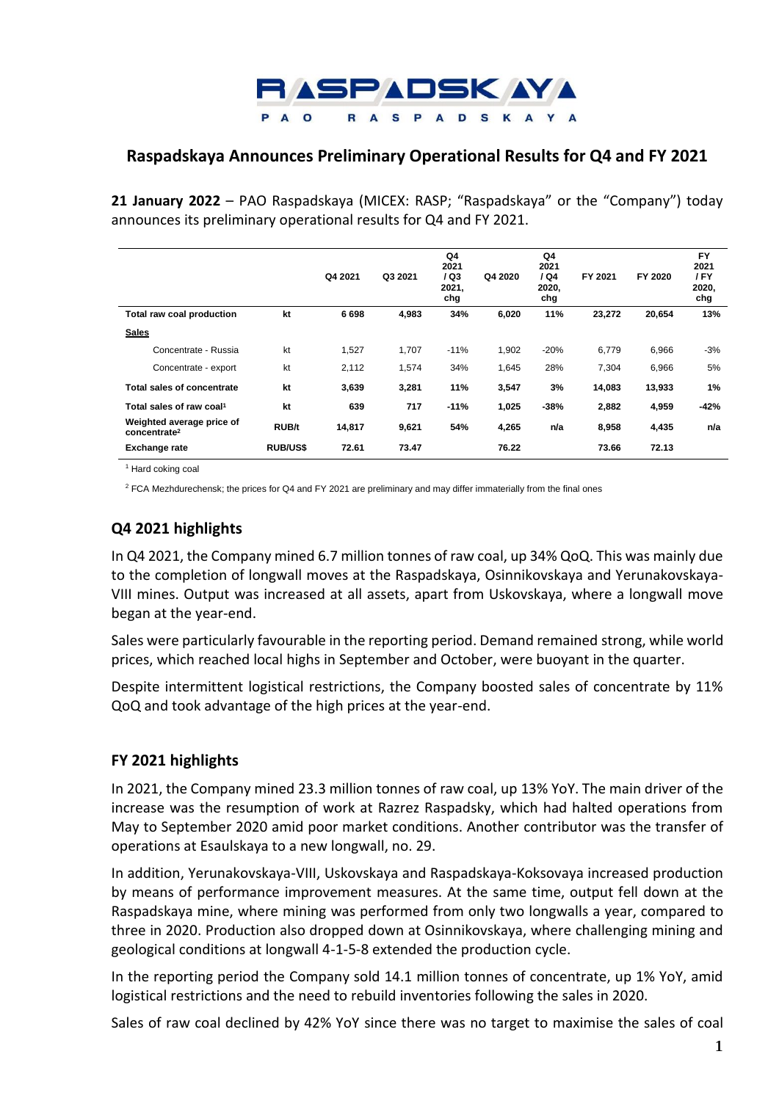

## **Raspadskaya Announces Preliminary Operational Results for Q4 and FY 2021**

**21 January 2022** – PAO Raspadskaya (MICEX: RASP; "Raspadskaya" or the "Company") today announces its preliminary operational results for Q4 and FY 2021.

|                                                       |                 | Q4 2021 | Q3 2021 | Q4<br>2021<br>/ Q3<br>2021,<br>chg | Q4 2020 | Q4<br>2021<br>1Q4<br>2020,<br>chg | FY 2021 | FY 2020 | <b>FY</b><br>2021<br>/FY<br>2020,<br>chg |
|-------------------------------------------------------|-----------------|---------|---------|------------------------------------|---------|-----------------------------------|---------|---------|------------------------------------------|
| Total raw coal production                             | kt              | 6698    | 4.983   | 34%                                | 6,020   | 11%                               | 23,272  | 20,654  | 13%                                      |
| <b>Sales</b>                                          |                 |         |         |                                    |         |                                   |         |         |                                          |
| Concentrate - Russia                                  | kt              | 1,527   | 1,707   | $-11%$                             | 1,902   | $-20%$                            | 6,779   | 6,966   | $-3%$                                    |
| Concentrate - export                                  | kt              | 2,112   | 1.574   | 34%                                | 1,645   | 28%                               | 7,304   | 6,966   | 5%                                       |
| Total sales of concentrate                            | kt              | 3,639   | 3,281   | 11%                                | 3,547   | 3%                                | 14,083  | 13,933  | 1%                                       |
| Total sales of raw coal <sup>1</sup>                  | kt              | 639     | 717     | $-11%$                             | 1,025   | $-38%$                            | 2,882   | 4,959   | -42%                                     |
| Weighted average price of<br>concentrate <sup>2</sup> | <b>RUB/t</b>    | 14,817  | 9,621   | 54%                                | 4,265   | n/a                               | 8,958   | 4,435   | n/a                                      |
| <b>Exchange rate</b>                                  | <b>RUB/US\$</b> | 72.61   | 73.47   |                                    | 76.22   |                                   | 73.66   | 72.13   |                                          |

<sup>1</sup> Hard coking coal

<sup>2</sup> FCA Mezhdurechensk; the prices for Q4 and FY 2021 are preliminary and may differ immaterially from the final ones

## **Q4 2021 highlights**

In Q4 2021, the Company mined 6.7 million tonnes of raw coal, up 34% QoQ. This was mainly due to the completion of longwall moves at the Raspadskaya, Osinnikovskaya and Yerunakovskaya-VIII mines. Output was increased at all assets, apart from Uskovskaya, where a longwall move began at the year-end.

Sales were particularly favourable in the reporting period. Demand remained strong, while world prices, which reached local highs in September and October, were buoyant in the quarter.

Despite intermittent logistical restrictions, the Company boosted sales of concentrate by 11% QoQ and took advantage of the high prices at the year-end.

## **FY 2021 highlights**

In 2021, the Company mined 23.3 million tonnes of raw coal, up 13% YoY. The main driver of the increase was the resumption of work at Razrez Raspadsky, which had halted operations from May to September 2020 amid poor market conditions. Another contributor was the transfer of operations at Esaulskaya to a new longwall, no. 29.

In addition, Yerunakovskaya-VIII, Uskovskaya and Raspadskaya-Koksovaya increased production by means of performance improvement measures. At the same time, output fell down at the Raspadskaya mine, where mining was performed from only two longwalls a year, compared to three in 2020. Production also dropped down at Osinnikovskaya, where challenging mining and geological conditions at longwall 4-1-5-8 extended the production cycle.

In the reporting period the Company sold 14.1 million tonnes of concentrate, up 1% YoY, amid logistical restrictions and the need to rebuild inventories following the sales in 2020.

Sales of raw coal declined by 42% YoY since there was no target to maximise the sales of coal